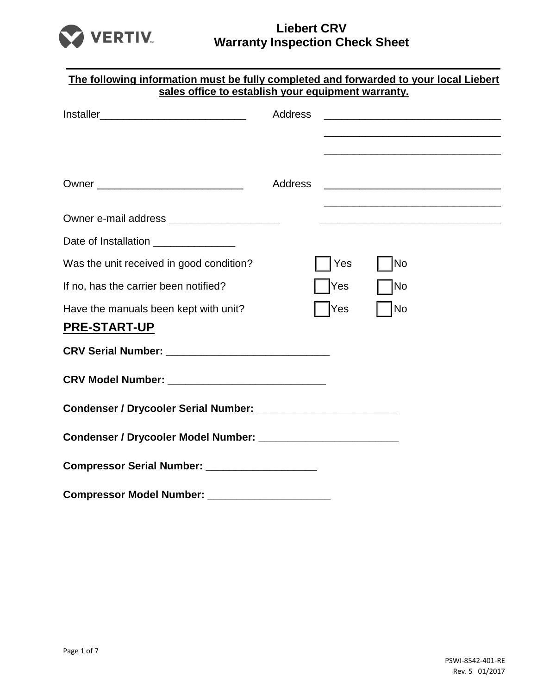

| The following information must be fully completed and forwarded to your local Liebert<br>sales office to establish your equipment warranty. |         |     |                                                                                                                      |  |
|---------------------------------------------------------------------------------------------------------------------------------------------|---------|-----|----------------------------------------------------------------------------------------------------------------------|--|
|                                                                                                                                             | Address |     | <u> 1989 - Johann John Stone, markin film yn y brenin y brenin y brenin y brenin y brenin y brenin y brenin y br</u> |  |
|                                                                                                                                             | Address |     |                                                                                                                      |  |
| Owner e-mail address ________________________                                                                                               |         |     |                                                                                                                      |  |
| Date of Installation ________________                                                                                                       |         |     |                                                                                                                      |  |
| Was the unit received in good condition?                                                                                                    |         | Yes | No                                                                                                                   |  |
| If no, has the carrier been notified?                                                                                                       |         | Yes | No                                                                                                                   |  |
| Have the manuals been kept with unit?<br><b>PRE-START-UP</b>                                                                                |         | Yes | <b>No</b>                                                                                                            |  |
|                                                                                                                                             |         |     |                                                                                                                      |  |
|                                                                                                                                             |         |     |                                                                                                                      |  |
|                                                                                                                                             |         |     |                                                                                                                      |  |
|                                                                                                                                             |         |     |                                                                                                                      |  |
| Compressor Serial Number: __________________                                                                                                |         |     |                                                                                                                      |  |
| <b>Compressor Model Number:</b>                                                                                                             |         |     |                                                                                                                      |  |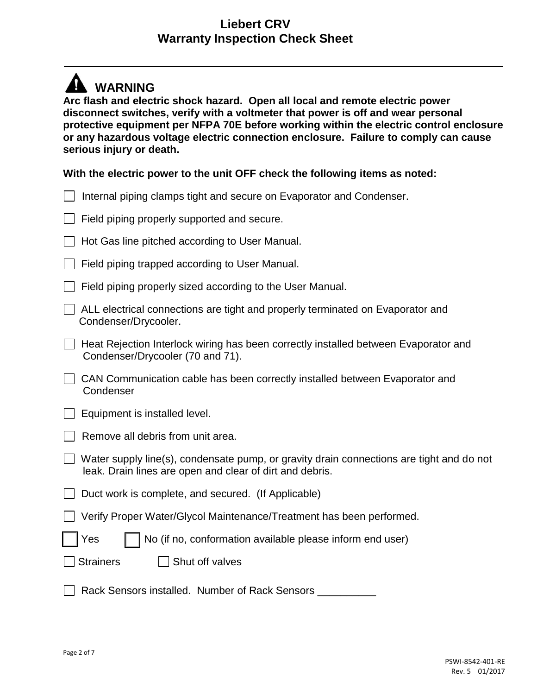# **WARNING**

**Arc flash and electric shock hazard. Open all local and remote electric power disconnect switches, verify with a voltmeter that power is off and wear personal protective equipment per NFPA 70E before working within the electric control enclosure or any hazardous voltage electric connection enclosure. Failure to comply can cause serious injury or death.**

#### **With the electric power to the unit OFF check the following items as noted:**

| Internal piping clamps tight and secure on Evaporator and Condenser.                                                                                 |
|------------------------------------------------------------------------------------------------------------------------------------------------------|
| Field piping properly supported and secure.                                                                                                          |
| Hot Gas line pitched according to User Manual.                                                                                                       |
| Field piping trapped according to User Manual.                                                                                                       |
| Field piping properly sized according to the User Manual.                                                                                            |
| ALL electrical connections are tight and properly terminated on Evaporator and<br>Condenser/Drycooler.                                               |
| Heat Rejection Interlock wiring has been correctly installed between Evaporator and<br>Condenser/Drycooler (70 and 71).                              |
| CAN Communication cable has been correctly installed between Evaporator and<br>Condenser                                                             |
| Equipment is installed level.                                                                                                                        |
| Remove all debris from unit area.                                                                                                                    |
| Water supply line(s), condensate pump, or gravity drain connections are tight and do not<br>leak. Drain lines are open and clear of dirt and debris. |
| Duct work is complete, and secured. (If Applicable)                                                                                                  |
| Verify Proper Water/Glycol Maintenance/Treatment has been performed.                                                                                 |
| No (if no, conformation available please inform end user)<br>Yes                                                                                     |
| Shut off valves<br><b>Strainers</b>                                                                                                                  |
| Rack Sensors installed. Number of Rack Sensors                                                                                                       |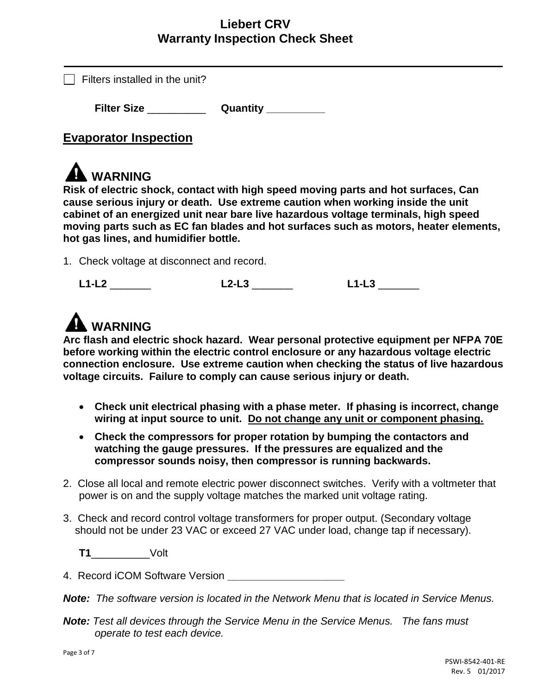|  | Filters installed in the unit? |  |  |
|--|--------------------------------|--|--|
|--|--------------------------------|--|--|

**Filter Size** \_\_\_\_\_\_\_\_\_\_ **Quantity \_\_\_\_\_\_\_\_\_\_**

# **Evaporator Inspection**

# **WARNING**

**Risk of electric shock, contact with high speed moving parts and hot surfaces, Can cause serious injury or death. Use extreme caution when working inside the unit cabinet of an energized unit near bare live hazardous voltage terminals, high speed moving parts such as EC fan blades and hot surfaces such as motors, heater elements, hot gas lines, and humidifier bottle.**

1. Check voltage at disconnect and record.

|  | Ð<br>___<br>__ |  |
|--|----------------|--|
|--|----------------|--|

# **WARNING**

**Arc flash and electric shock hazard. Wear personal protective equipment per NFPA 70E before working within the electric control enclosure or any hazardous voltage electric connection enclosure. Use extreme caution when checking the status of live hazardous voltage circuits. Failure to comply can cause serious injury or death.**

- **Check unit electrical phasing with a phase meter. If phasing is incorrect, change wiring at input source to unit. Do not change any unit or component phasing.**
- **Check the compressors for proper rotation by bumping the contactors and watching the gauge pressures. If the pressures are equalized and the compressor sounds noisy, then compressor is running backwards.**
- 2. Close all local and remote electric power disconnect switches. Verify with a voltmeter that power is on and the supply voltage matches the marked unit voltage rating.
- 3. Check and record control voltage transformers for proper output. (Secondary voltage should not be under 23 VAC or exceed 27 VAC under load, change tap if necessary).

**T1**\_\_\_\_\_\_\_\_\_\_Volt

4. Record iCOM Software Version **\_\_\_\_\_\_\_\_\_\_\_\_\_\_\_\_\_\_\_\_**

*Note: The software version is located in the Network Menu that is located in Service Menus.*

*Note: Test all devices through the Service Menu in the Service Menus. The fans must operate to test each device.*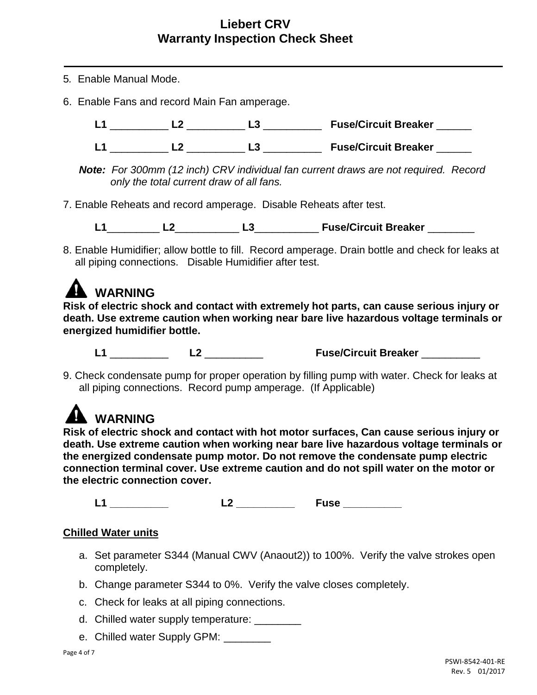- 5*.* Enable Manual Mode.
- 6. Enable Fans and record Main Fan amperage.

**L1** \_\_\_\_\_\_\_\_\_\_ **L2** \_\_\_\_\_\_\_\_\_\_ **L3** \_\_\_\_\_\_\_\_\_\_ **Fuse/Circuit Breaker** \_\_\_\_\_\_

**L1** \_\_\_\_\_\_\_\_\_\_ **L2** \_\_\_\_\_\_\_\_\_\_ **L3** \_\_\_\_\_\_\_\_\_\_ **Fuse/Circuit Breaker** \_\_\_\_\_\_

*Note: For 300mm (12 inch) CRV individual fan current draws are not required. Record only the total current draw of all fans.*

7. Enable Reheats and record amperage. Disable Reheats after test.

**L1**\_\_\_\_\_\_\_\_\_ **L2**\_\_\_\_\_\_\_\_\_\_\_ **L3**\_\_\_\_\_\_\_\_\_\_\_ **Fuse/Circuit Breaker** \_\_\_\_\_\_\_\_

8. Enable Humidifier; allow bottle to fill. Record amperage. Drain bottle and check for leaks at all piping connections. Disable Humidifier after test.



**Risk of electric shock and contact with extremely hot parts, can cause serious injury or death. Use extreme caution when working near bare live hazardous voltage terminals or energized humidifier bottle.**

**L1** \_\_\_\_\_\_\_\_\_\_ **L2** \_\_\_\_\_\_\_\_\_\_ **Fuse/Circuit Breaker** \_\_\_\_\_\_\_\_\_\_

9. Check condensate pump for proper operation by filling pump with water. Check for leaks at all piping connections. Record pump amperage. (If Applicable)

# **WARNING**

**Risk of electric shock and contact with hot motor surfaces, Can cause serious injury or death. Use extreme caution when working near bare live hazardous voltage terminals or the energized condensate pump motor. Do not remove the condensate pump electric connection terminal cover. Use extreme caution and do not spill water on the motor or the electric connection cover.**

**L1 \_\_\_\_\_\_\_\_\_\_ L2 \_\_\_\_\_\_\_\_\_\_ Fuse \_\_\_\_\_\_\_\_\_\_**

#### **Chilled Water units**

- a. Set parameter S344 (Manual CWV (Anaout2)) to 100%. Verify the valve strokes open completely.
- b. Change parameter S344 to 0%. Verify the valve closes completely.
- c. Check for leaks at all piping connections.
- d. Chilled water supply temperature:
- e. Chilled water Supply GPM: \_\_\_\_\_\_\_\_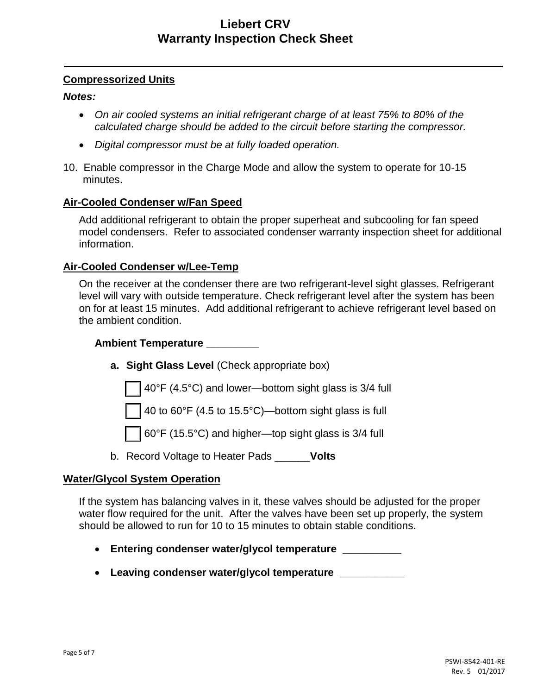#### **Compressorized Units**

#### *Notes:*

- *On air cooled systems an initial refrigerant charge of at least 75% to 80% of the calculated charge should be added to the circuit before starting the compressor.*
- *Digital compressor must be at fully loaded operation.*
- 10. Enable compressor in the Charge Mode and allow the system to operate for 10-15 minutes.

#### **Air-Cooled Condenser w/Fan Speed**

Add additional refrigerant to obtain the proper superheat and subcooling for fan speed model condensers. Refer to associated condenser warranty inspection sheet for additional information.

#### **Air-Cooled Condenser w/Lee-Temp**

On the receiver at the condenser there are two refrigerant-level sight glasses. Refrigerant level will vary with outside temperature. Check refrigerant level after the system has been on for at least 15 minutes. Add additional refrigerant to achieve refrigerant level based on the ambient condition.

#### **Ambient Temperature \_\_\_\_\_\_\_\_\_**

**a. Sight Glass Level** (Check appropriate box)

40°F (4.5°C) and lower—bottom sight glass is 3/4 full

40 to 60°F (4.5 to 15.5°C)—bottom sight glass is full

60°F (15.5°C) and higher—top sight glass is 3/4 full

b. Record Voltage to Heater Pads \_\_\_\_\_\_**Volts**

#### **Water/Glycol System Operation**

If the system has balancing valves in it, these valves should be adjusted for the proper water flow required for the unit. After the valves have been set up properly, the system should be allowed to run for 10 to 15 minutes to obtain stable conditions.

- **Entering condenser water/glycol temperature \_\_\_\_\_\_\_\_\_\_**
- **Leaving condenser water/glycol temperature \_\_\_\_\_\_\_\_\_\_\_**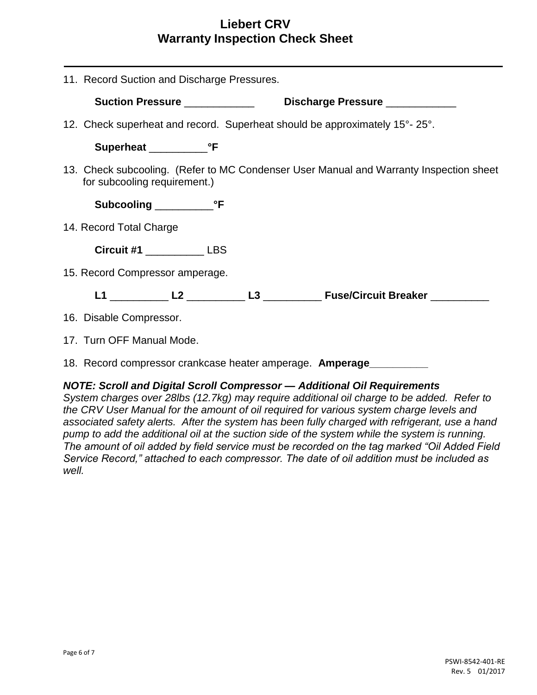|                           | 11. Record Suction and Discharge Pressures.                                |  |                                                                                        |  |
|---------------------------|----------------------------------------------------------------------------|--|----------------------------------------------------------------------------------------|--|
|                           | Suction Pressure ___________<br>Discharge Pressure ___________             |  |                                                                                        |  |
|                           | 12. Check superheat and record. Superheat should be approximately 15°-25°. |  |                                                                                        |  |
|                           |                                                                            |  |                                                                                        |  |
|                           | for subcooling requirement.)                                               |  | 13. Check subcooling. (Refer to MC Condenser User Manual and Warranty Inspection sheet |  |
|                           |                                                                            |  |                                                                                        |  |
| 14. Record Total Charge   |                                                                            |  |                                                                                        |  |
|                           | Circuit #1 LBS                                                             |  |                                                                                        |  |
|                           | 15. Record Compressor amperage.                                            |  |                                                                                        |  |
|                           |                                                                            |  |                                                                                        |  |
| 16. Disable Compressor.   |                                                                            |  |                                                                                        |  |
| 17. Turn OFF Manual Mode. |                                                                            |  |                                                                                        |  |

18. Record compressor crankcase heater amperage. **Amperage\_\_\_\_\_\_\_\_\_\_**

#### *NOTE: Scroll and Digital Scroll Compressor — Additional Oil Requirements*

*System charges over 28lbs (12.7kg) may require additional oil charge to be added. Refer to the CRV User Manual for the amount of oil required for various system charge levels and associated safety alerts. After the system has been fully charged with refrigerant, use a hand pump to add the additional oil at the suction side of the system while the system is running. The amount of oil added by field service must be recorded on the tag marked "Oil Added Field Service Record," attached to each compressor. The date of oil addition must be included as well.*